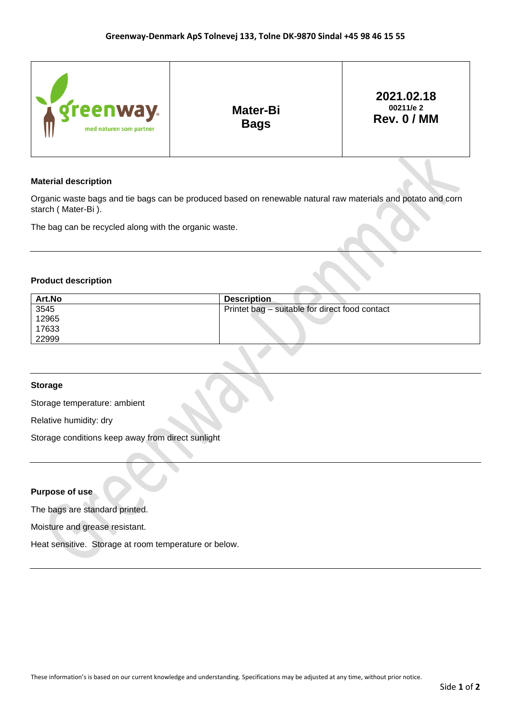| 2021.02.18<br><b>Qreenway.</b><br>00211/e 2<br><b>Mater-Bi</b><br><b>Rev. 0 / MM</b><br><b>Bags</b><br>med naturen som partner |
|--------------------------------------------------------------------------------------------------------------------------------|
|--------------------------------------------------------------------------------------------------------------------------------|

### **Material description**

Organic waste bags and tie bags can be produced based on renewable natural raw materials and potato and corn starch ( Mater-Bi ).

The bag can be recycled along with the organic waste.

### **Product description**

| Art.No | <b>Description</b>                             |
|--------|------------------------------------------------|
| 3545   | Printet bag - suitable for direct food contact |
| 12965  |                                                |
| 17633  |                                                |
| 22999  |                                                |
|        |                                                |

#### **Storage**

Storage temperature: ambient

Relative humidity: dry

Storage conditions keep away from direct sunlight

# **Purpose of use**

The bags are standard printed.

Moisture and grease resistant.

Heat sensitive. Storage at room temperature or below.